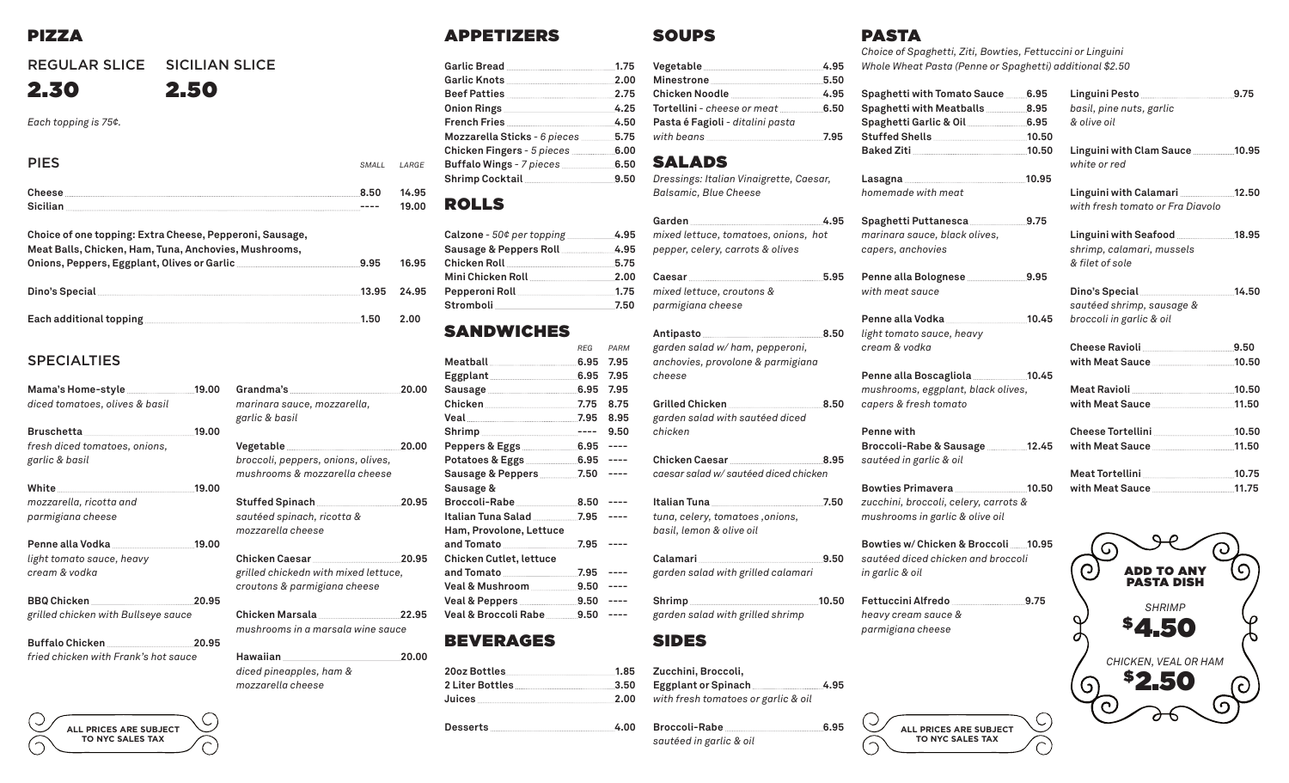## PIZZA

#### REGULAR SLICE SICILIAN SLICE

# 2.30 2.50

*Each topping is 75¢.*

PIES *SMALL LARGE* **Cheese 8.50 14.95 Sicilian ---- 19.00**

| Choice of one topping: Extra Cheese, Pepperoni, Sausage,<br>Meat Balls, Chicken, Ham, Tuna, Anchovies, Mushrooms,                                                                                                                    |       |       |
|--------------------------------------------------------------------------------------------------------------------------------------------------------------------------------------------------------------------------------------|-------|-------|
| Onions, Peppers, Eggplant, Olives or Garlic <b>Manual Accord Process</b> 9.95                                                                                                                                                        |       | 16.95 |
| Dino's Special                                                                                                                                                                                                                       | 13.95 | 24.95 |
| Each additional topping <b>continuum and all of the contract of the contract of the contract of the contract of the contract of the contract of the contract of the contract of the contract of the contract of the contract of </b> | 1.50  | 2.00  |

#### SPECIALTIES

| diced tomatoes, olives & basil                  |       | Grandma's 20.00<br>marinara sauce, mozzarella,<br>garlic & basil                             |       |
|-------------------------------------------------|-------|----------------------------------------------------------------------------------------------|-------|
|                                                 |       |                                                                                              |       |
| fresh diced tomatoes, onions,<br>garlic & basil |       | Vegetable 20.00<br>broccoli, peppers, onions, olives,<br>mushrooms & mozzarella cheese       |       |
|                                                 | 19.00 |                                                                                              |       |
| mozzarella, ricotta and<br>parmigiana cheese    |       | Stuffed Spinach 20.95<br>sautéed spinach, ricotta &<br>mozzarella cheese                     |       |
|                                                 |       |                                                                                              |       |
| light tomato sauce, heavy<br>cream & vodka      |       | Chicken Caesar 20.95<br>grilled chickedn with mixed lettuce,<br>croutons & parmigiana cheese |       |
|                                                 |       |                                                                                              |       |
| grilled chicken with Bullseye sauce             |       | Chicken Marsala 22.95<br>mushrooms in a marsala wine sauce                                   |       |
|                                                 |       |                                                                                              |       |
| fried chicken with Frank's hot sauce            |       | diced pineapples, ham &<br>mozzarella cheese                                                 | 20.00 |



#### APPETIZERS

| Garlic Bread 2008 2014 1.75                   |      |
|-----------------------------------------------|------|
| Garlic Knots 2.00                             |      |
|                                               | 2.75 |
|                                               | 4.25 |
| French Fries                                  | 4.50 |
| Mozzarella Sticks - 6 pieces 5.75             |      |
| Chicken Fingers - 5 pieces <b>manual</b> 6.00 |      |
|                                               |      |
|                                               |      |

#### ROLLS

| Calzone - 50¢ per topping ______________4.95 |  |
|----------------------------------------------|--|
| Sausage & Peppers Roll 4.95                  |  |
|                                              |  |
| Mini Chicken Roll 2.00                       |  |
|                                              |  |
|                                              |  |
|                                              |  |

## SANDWICHES

|                                           | <b>RFG</b> | PARM |
|-------------------------------------------|------------|------|
|                                           |            | 7.95 |
|                                           |            | 7.95 |
| Sausage 2008 2010 2011 2022 2034 2040 205 |            | 7.95 |
| Chicken 7.75                              |            | 8.75 |
| Veal 7.95                                 |            | 8.95 |
|                                           |            | 9.50 |
|                                           |            |      |
|                                           |            |      |
| Sausage & Peppers 2006 7.50               |            |      |
| Sausage &                                 |            |      |
|                                           |            | ---- |
|                                           |            |      |
| Ham, Provolone, Lettuce                   |            |      |
| and Tomato <b></b>                        | 7.95       |      |
| <b>Chicken Cutlet, lettuce</b>            |            |      |
| and Tomato <u></u> .7.95                  |            |      |
|                                           |            |      |
| Veal & Peppers 2006 00:00                 |            |      |
| Veal & Broccoli Rabe <b>2006</b> 9.50     |            |      |
|                                           |            |      |

## **BEVERAGES**

| 20oz Bottles 1.85    |  |
|----------------------|--|
| 2 Liter Bottles 3.50 |  |
| <u>Juices 2.00</u>   |  |

**Desserts 4.00**

| Minestrone 5.50                                |  |
|------------------------------------------------|--|
|                                                |  |
| <b>Tortellini</b> - cheese or meat <b>6.50</b> |  |
| Pasta é Fagioli - ditalini pasta               |  |
|                                                |  |
|                                                |  |

## SALADS

SOUPS

#### *Dressings: Italian Vinaigrette, Caesar, Balsamic, Blue Cheese*

#### Garden 4.95 *mixed lettuce, tomatoes, onions, hot pepper, celery, carrots & olives*

**Caesar 5.95** *mixed lettuce, croutons & parmigiana cheese*

Antipasto <u>2006</u> 8.50 *garden salad w/ ham, pepperoni, anchovies, provolone & parmigiana cheese*

**Grilled Chicken 8.50**  *garden salad with sautéed diced chicken*

**Chicken Caesar 8.95** *caesar salad w/ sautéed diced chicken*

**Italian Tuna 7.50** *tuna, celery, tomatoes ,onions, basil, lemon & olive oil*

**Calamari 9.50**  *garden salad with grilled calamari*

Shrimp 10.50 *garden salad with grilled shrimp*

#### SIDES

**Zucchini, Broccoli,**  Eggplant or Spinach 4.95 *with fresh tomatoes or garlic & oil*

**Broccoli-Rabe 6.95** *sautéed in garlic & oil*

# PASTA

*Choice of Spaghetti, Ziti, Bowties, Fettuccini or Linguini Whole Wheat Pasta (Penne or Spaghetti) additional \$2.50*

| Spaghetti with Tomato Sauce ………6.95       |  |
|-------------------------------------------|--|
| Spaghetti with Meatballs 8.95             |  |
| Spaghetti Garlic & Oil ______________6.95 |  |
|                                           |  |
|                                           |  |
|                                           |  |

**Lasagna 10.95** *homemade with meat*

**Spaghetti Puttanesca 9.75** *marinara sauce, black olives, capers, anchovies*

Penne alla Bolognese **9.95** *with meat sauce*

**Penne alla Vodka 10.45** *light tomato sauce, heavy cream & vodka*

Penne alla Boscagliola 2008 10.45 *mushrooms, eggplant, black olives, capers & fresh tomato*

**Penne with Broccoli-Rabe & Sausage 12.45** *sautéed in garlic & oil*

**Bowties Primavera 10.50** *zucchini, broccoli, celery, carrots & mushrooms in garlic & olive oil*

**Bowties w/ Chicken & Broccoli 10.95** *sautéed diced chicken and broccoli in garlic & oil*

> **ALL PRICES ARE SUBJECT TO NYC SALES TAX**

 $\subset$ 

**Fettuccini Alfredo 9.75** *heavy cream sauce & parmigiana cheese*

#### **Linguini Pesto 9.75** *basil, pine nuts, garlic & olive oil* Linguini with Clam Sauce 10.95

*white or red*

Linguini with Calamari 12.50 *with fresh tomato or Fra Diavolo*

Linguini with Seafood 2000 2000 2018 *shrimp, calamari, mussels & filet of sole*

#### **Dino's Special 14.50** *sautéed shrimp, sausage & broccoli in garlic & oil*

| with Meat Sauce 10.50             |  |
|-----------------------------------|--|
| Meat Ravioli and the Meat Ravioli |  |
| with Meat Sauce 11.50             |  |
|                                   |  |

| Cheese Tortellini 10.50 |  |
|-------------------------|--|
| with Meat Sauce 11.50   |  |
|                         |  |

| <b>Meat Tortellini</b> |  |
|------------------------|--|
|                        |  |